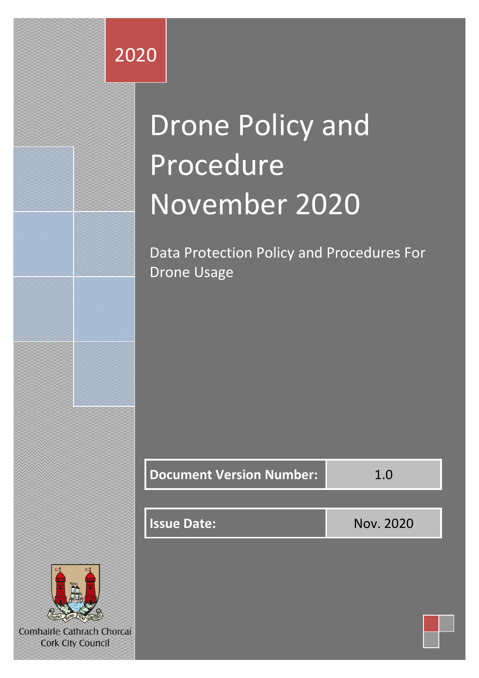# 2020

# Drone Policy and Procedure November 2020

Data Protection Policy and Procedures For Drone Usage

| <b>Document Version Number:</b> | 1.0       |
|---------------------------------|-----------|
|                                 |           |
| <b>Issue Date:</b>              | Nov. 2020 |
|                                 |           |



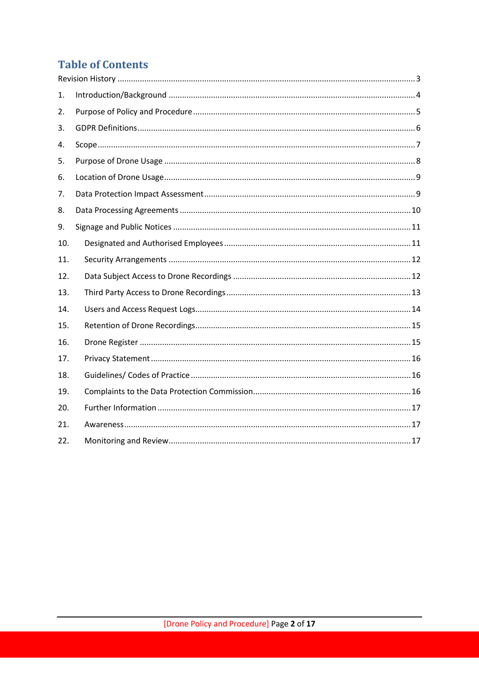# **Table of Contents**

| 1.  |  |
|-----|--|
| 2.  |  |
| 3.  |  |
| 4.  |  |
| 5.  |  |
| 6.  |  |
| 7.  |  |
| 8.  |  |
| 9.  |  |
| 10. |  |
| 11. |  |
| 12. |  |
| 13. |  |
| 14. |  |
| 15. |  |
| 16. |  |
| 17. |  |
| 18. |  |
| 19. |  |
| 20. |  |
| 21. |  |
| 22. |  |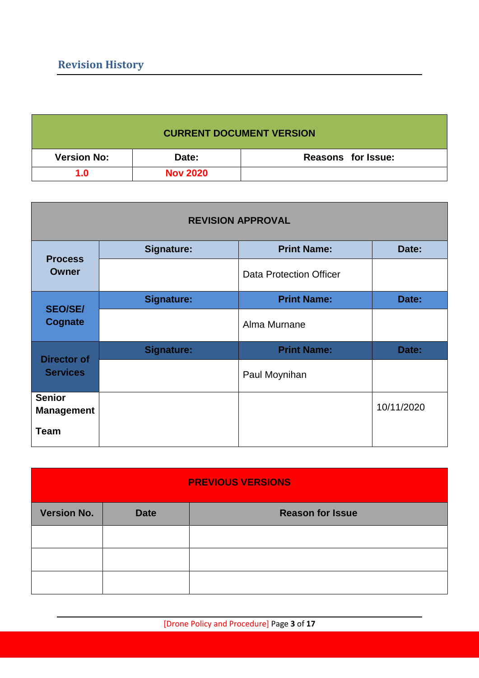<span id="page-2-0"></span>

| <b>CURRENT DOCUMENT VERSION</b> |                 |                           |  |
|---------------------------------|-----------------|---------------------------|--|
| <b>Version No:</b>              | Date:           | <b>Reasons for Issue:</b> |  |
| 1.0                             | <b>Nov 2020</b> |                           |  |

| <b>REVISION APPROVAL</b>           |                   |                                |            |
|------------------------------------|-------------------|--------------------------------|------------|
| <b>Process</b>                     | Signature:        | <b>Print Name:</b>             | Date:      |
| <b>Owner</b>                       |                   | <b>Data Protection Officer</b> |            |
| <b>SEO/SE/</b>                     | <b>Signature:</b> | <b>Print Name:</b>             | Date:      |
| <b>Cognate</b>                     |                   | Alma Murnane                   |            |
| <b>Director of</b>                 | <b>Signature:</b> | <b>Print Name:</b>             | Date:      |
| <b>Services</b>                    |                   | Paul Moynihan                  |            |
| <b>Senior</b><br><b>Management</b> |                   |                                | 10/11/2020 |
| <b>Team</b>                        |                   |                                |            |

| <b>PREVIOUS VERSIONS</b> |             |                         |  |
|--------------------------|-------------|-------------------------|--|
| <b>Version No.</b>       | <b>Date</b> | <b>Reason for Issue</b> |  |
|                          |             |                         |  |
|                          |             |                         |  |
|                          |             |                         |  |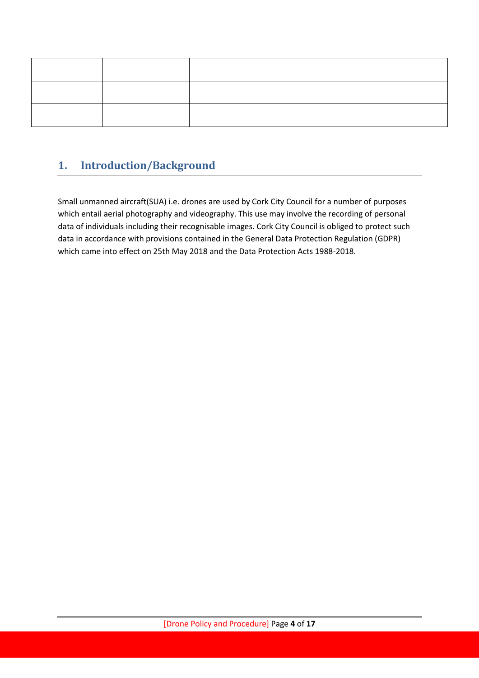# <span id="page-3-0"></span>**1. Introduction/Background**

Small unmanned aircraft(SUA) i.e. drones are used by Cork City Council for a number of purposes which entail aerial photography and videography. This use may involve the recording of personal data of individuals including their recognisable images. Cork City Council is obliged to protect such data in accordance with provisions contained in the General Data Protection Regulation (GDPR) which came into effect on 25th May 2018 and the Data Protection Acts 1988-2018.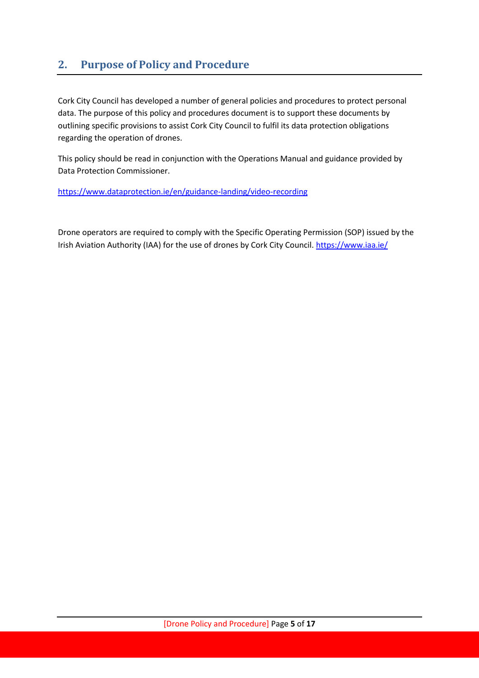## <span id="page-4-0"></span>**2. Purpose of Policy and Procedure**

Cork City Council has developed a number of general policies and procedures to protect personal data. The purpose of this policy and procedures document is to support these documents by outlining specific provisions to assist Cork City Council to fulfil its data protection obligations regarding the operation of drones.

This policy should be read in conjunction with the Operations Manual and guidance provided by Data Protection Commissioner.

<https://www.dataprotection.ie/en/guidance-landing/video-recording>

Drone operators are required to comply with the Specific Operating Permission (SOP) issued by the Irish Aviation Authority (IAA) for the use of drones by Cork City Council. <https://www.iaa.ie/>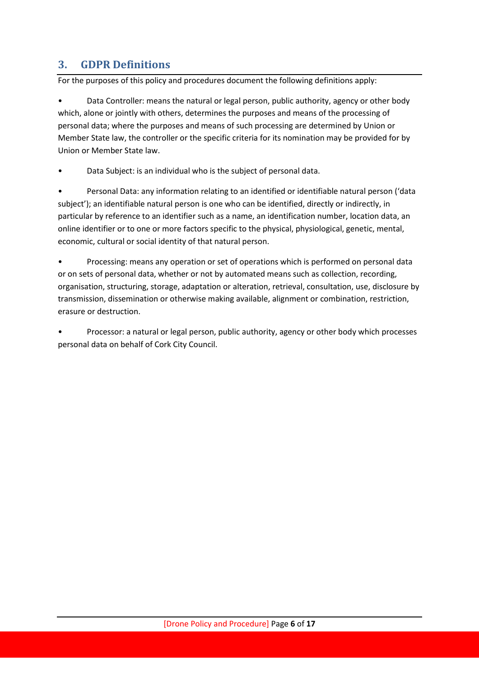## <span id="page-5-0"></span>**3. GDPR Definitions**

For the purposes of this policy and procedures document the following definitions apply:

• Data Controller: means the natural or legal person, public authority, agency or other body which, alone or jointly with others, determines the purposes and means of the processing of personal data; where the purposes and means of such processing are determined by Union or Member State law, the controller or the specific criteria for its nomination may be provided for by Union or Member State law.

Data Subject: is an individual who is the subject of personal data.

• Personal Data: any information relating to an identified or identifiable natural person ('data subject'); an identifiable natural person is one who can be identified, directly or indirectly, in particular by reference to an identifier such as a name, an identification number, location data, an online identifier or to one or more factors specific to the physical, physiological, genetic, mental, economic, cultural or social identity of that natural person.

• Processing: means any operation or set of operations which is performed on personal data or on sets of personal data, whether or not by automated means such as collection, recording, organisation, structuring, storage, adaptation or alteration, retrieval, consultation, use, disclosure by transmission, dissemination or otherwise making available, alignment or combination, restriction, erasure or destruction.

• Processor: a natural or legal person, public authority, agency or other body which processes personal data on behalf of Cork City Council.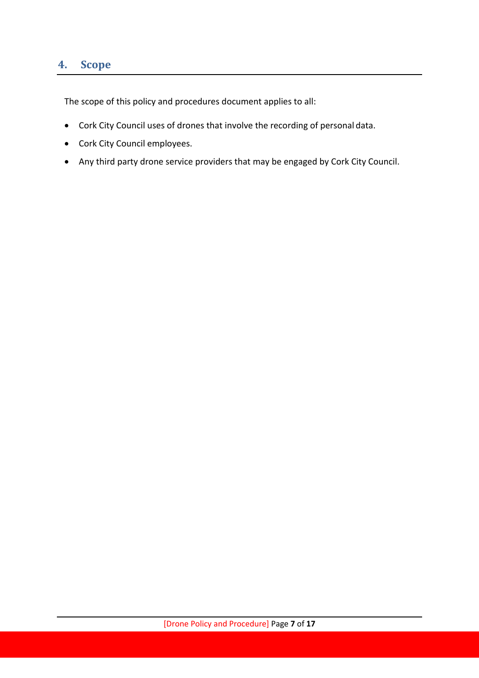#### <span id="page-6-0"></span>**4. Scope**

The scope of this policy and procedures document applies to all:

- Cork City Council uses of drones that involve the recording of personal data.
- Cork City Council employees.
- Any third party drone service providers that may be engaged by Cork City Council.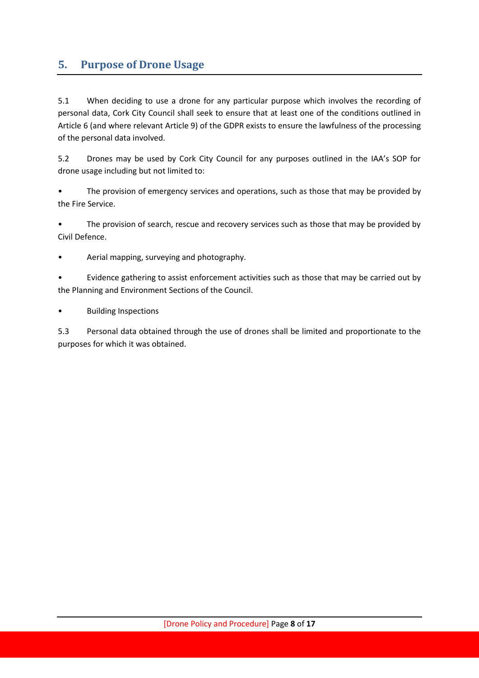#### <span id="page-7-0"></span>**5. Purpose of Drone Usage**

5.1 When deciding to use a drone for any particular purpose which involves the recording of personal data, Cork City Council shall seek to ensure that at least one of the conditions outlined in Article 6 (and where relevant Article 9) of the GDPR exists to ensure the lawfulness of the processing of the personal data involved.

5.2 Drones may be used by Cork City Council for any purposes outlined in the IAA's SOP for drone usage including but not limited to:

The provision of emergency services and operations, such as those that may be provided by the Fire Service.

• The provision of search, rescue and recovery services such as those that may be provided by Civil Defence.

• Aerial mapping, surveying and photography.

• Evidence gathering to assist enforcement activities such as those that may be carried out by the Planning and Environment Sections of the Council.

• Building Inspections

5.3 Personal data obtained through the use of drones shall be limited and proportionate to the purposes for which it was obtained.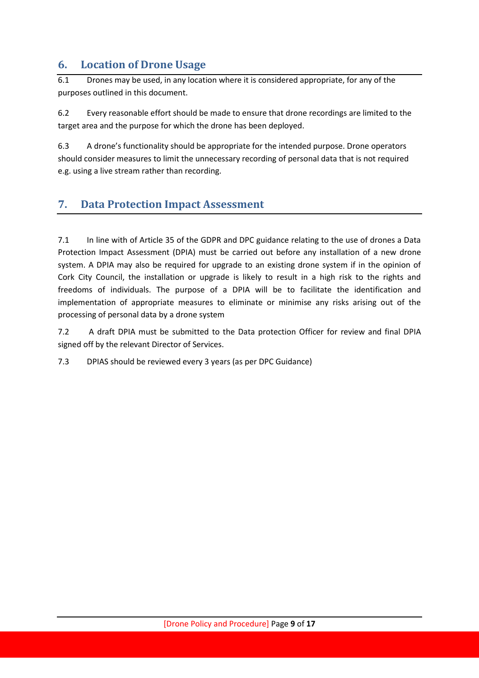#### <span id="page-8-0"></span>**6. Location of Drone Usage**

6.1 Drones may be used, in any location where it is considered appropriate, for any of the purposes outlined in this document.

6.2 Every reasonable effort should be made to ensure that drone recordings are limited to the target area and the purpose for which the drone has been deployed.

6.3 A drone's functionality should be appropriate for the intended purpose. Drone operators should consider measures to limit the unnecessary recording of personal data that is not required e.g. using a live stream rather than recording.

#### <span id="page-8-1"></span>**7. Data Protection Impact Assessment**

7.1 In line with of Article 35 of the GDPR and DPC guidance relating to the use of drones a Data Protection Impact Assessment (DPIA) must be carried out before any installation of a new drone system. A DPIA may also be required for upgrade to an existing drone system if in the opinion of Cork City Council, the installation or upgrade is likely to result in a high risk to the rights and freedoms of individuals. The purpose of a DPIA will be to facilitate the identification and implementation of appropriate measures to eliminate or minimise any risks arising out of the processing of personal data by a drone system

7.2 A draft DPIA must be submitted to the Data protection Officer for review and final DPIA signed off by the relevant Director of Services.

7.3 DPIAS should be reviewed every 3 years (as per DPC Guidance)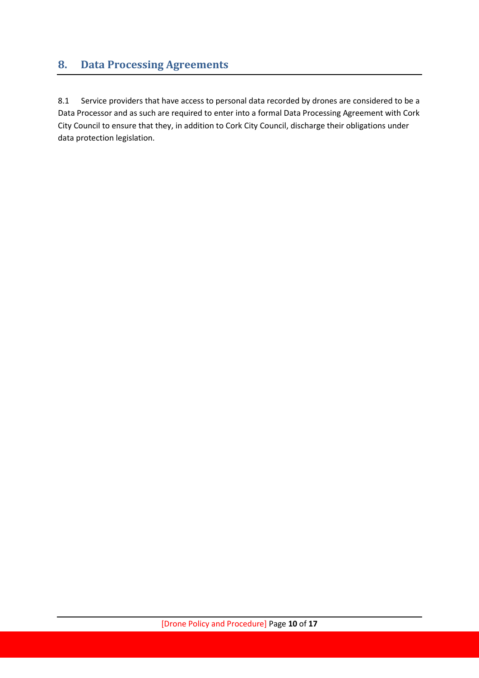# <span id="page-9-0"></span>**8. Data Processing Agreements**

8.1 Service providers that have access to personal data recorded by drones are considered to be a Data Processor and as such are required to enter into a formal Data Processing Agreement with Cork City Council to ensure that they, in addition to Cork City Council, discharge their obligations under data protection legislation.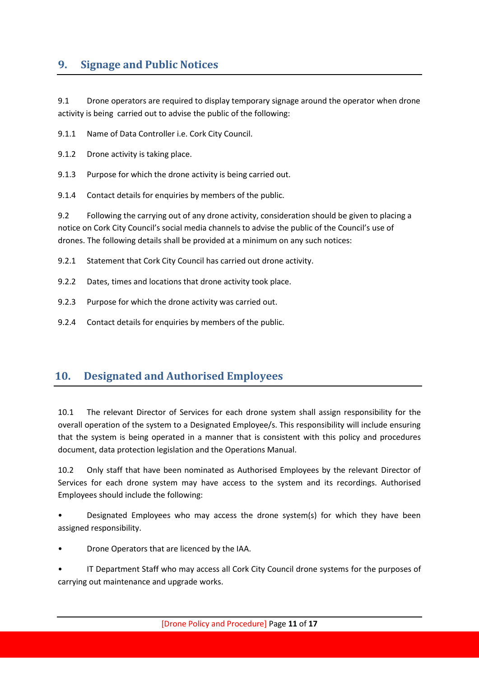#### <span id="page-10-0"></span>**9. Signage and Public Notices**

9.1 Drone operators are required to display temporary signage around the operator when drone activity is being carried out to advise the public of the following:

9.1.1 Name of Data Controller i.e. Cork City Council.

9.1.2 Drone activity is taking place.

9.1.3 Purpose for which the drone activity is being carried out.

9.1.4 Contact details for enquiries by members of the public.

9.2 Following the carrying out of any drone activity, consideration should be given to placing a notice on Cork City Council's social media channels to advise the public of the Council's use of drones. The following details shall be provided at a minimum on any such notices:

9.2.1 Statement that Cork City Council has carried out drone activity.

9.2.2 Dates, times and locations that drone activity took place.

9.2.3 Purpose for which the drone activity was carried out.

9.2.4 Contact details for enquiries by members of the public.

#### <span id="page-10-1"></span>**10. Designated and Authorised Employees**

10.1 The relevant Director of Services for each drone system shall assign responsibility for the overall operation of the system to a Designated Employee/s. This responsibility will include ensuring that the system is being operated in a manner that is consistent with this policy and procedures document, data protection legislation and the Operations Manual.

10.2 Only staff that have been nominated as Authorised Employees by the relevant Director of Services for each drone system may have access to the system and its recordings. Authorised Employees should include the following:

• Designated Employees who may access the drone system(s) for which they have been assigned responsibility.

• Drone Operators that are licenced by the IAA.

• IT Department Staff who may access all Cork City Council drone systems for the purposes of carrying out maintenance and upgrade works.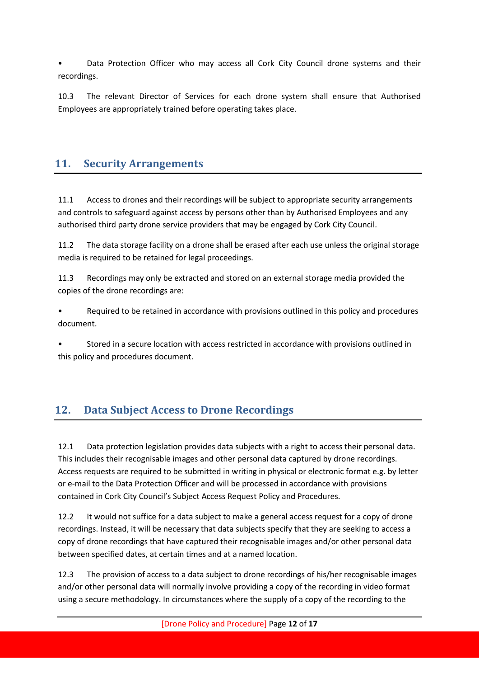• Data Protection Officer who may access all Cork City Council drone systems and their recordings.

10.3 The relevant Director of Services for each drone system shall ensure that Authorised Employees are appropriately trained before operating takes place.

#### <span id="page-11-0"></span>**11. Security Arrangements**

11.1 Access to drones and their recordings will be subject to appropriate security arrangements and controls to safeguard against access by persons other than by Authorised Employees and any authorised third party drone service providers that may be engaged by Cork City Council.

11.2 The data storage facility on a drone shall be erased after each use unless the original storage media is required to be retained for legal proceedings.

11.3 Recordings may only be extracted and stored on an external storage media provided the copies of the drone recordings are:

• Required to be retained in accordance with provisions outlined in this policy and procedures document.

• Stored in a secure location with access restricted in accordance with provisions outlined in this policy and procedures document.

#### <span id="page-11-1"></span>**12. Data Subject Access to Drone Recordings**

12.1 Data protection legislation provides data subjects with a right to access their personal data. This includes their recognisable images and other personal data captured by drone recordings. Access requests are required to be submitted in writing in physical or electronic format e.g. by letter or e-mail to the Data Protection Officer and will be processed in accordance with provisions contained in Cork City Council's Subject Access Request Policy and Procedures.

12.2 It would not suffice for a data subject to make a general access request for a copy of drone recordings. Instead, it will be necessary that data subjects specify that they are seeking to access a copy of drone recordings that have captured their recognisable images and/or other personal data between specified dates, at certain times and at a named location.

12.3 The provision of access to a data subject to drone recordings of his/her recognisable images and/or other personal data will normally involve providing a copy of the recording in video format using a secure methodology. In circumstances where the supply of a copy of the recording to the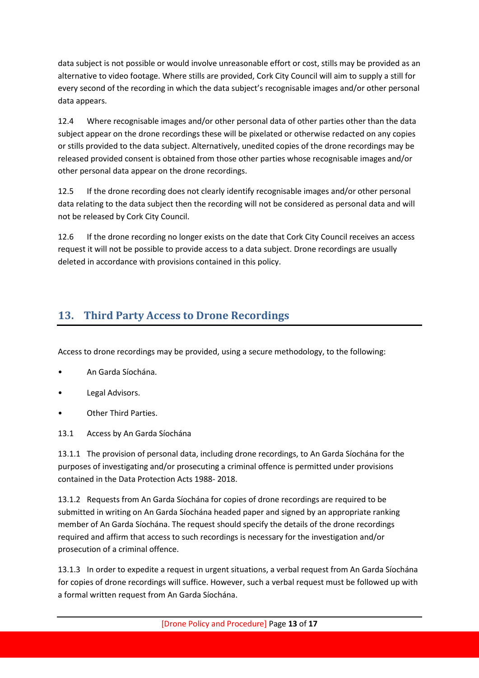data subject is not possible or would involve unreasonable effort or cost, stills may be provided as an alternative to video footage. Where stills are provided, Cork City Council will aim to supply a still for every second of the recording in which the data subject's recognisable images and/or other personal data appears.

12.4 Where recognisable images and/or other personal data of other parties other than the data subject appear on the drone recordings these will be pixelated or otherwise redacted on any copies or stills provided to the data subject. Alternatively, unedited copies of the drone recordings may be released provided consent is obtained from those other parties whose recognisable images and/or other personal data appear on the drone recordings.

12.5 If the drone recording does not clearly identify recognisable images and/or other personal data relating to the data subject then the recording will not be considered as personal data and will not be released by Cork City Council.

12.6 If the drone recording no longer exists on the date that Cork City Council receives an access request it will not be possible to provide access to a data subject. Drone recordings are usually deleted in accordance with provisions contained in this policy.

## <span id="page-12-0"></span>**13. Third Party Access to Drone Recordings**

Access to drone recordings may be provided, using a secure methodology, to the following:

- An Garda Síochána.
- Legal Advisors.
- Other Third Parties.
- 13.1 Access by An Garda Síochána

13.1.1 The provision of personal data, including drone recordings, to An Garda Síochána for the purposes of investigating and/or prosecuting a criminal offence is permitted under provisions contained in the Data Protection Acts 1988- 2018.

13.1.2 Requests from An Garda Síochána for copies of drone recordings are required to be submitted in writing on An Garda Síochána headed paper and signed by an appropriate ranking member of An Garda Síochána. The request should specify the details of the drone recordings required and affirm that access to such recordings is necessary for the investigation and/or prosecution of a criminal offence.

13.1.3 In order to expedite a request in urgent situations, a verbal request from An Garda Síochána for copies of drone recordings will suffice. However, such a verbal request must be followed up with a formal written request from An Garda Síochána.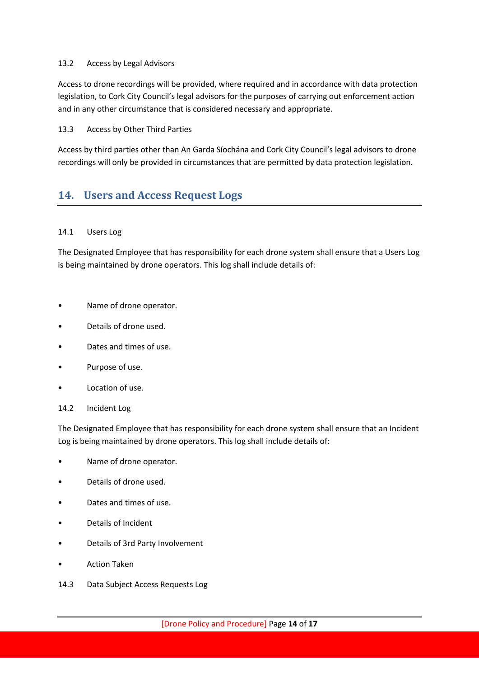#### 13.2 Access by Legal Advisors

Access to drone recordings will be provided, where required and in accordance with data protection legislation, to Cork City Council's legal advisors for the purposes of carrying out enforcement action and in any other circumstance that is considered necessary and appropriate.

#### 13.3 Access by Other Third Parties

Access by third parties other than An Garda Síochána and Cork City Council's legal advisors to drone recordings will only be provided in circumstances that are permitted by data protection legislation.

#### <span id="page-13-0"></span>**14. Users and Access Request Logs**

#### 14.1 Users Log

The Designated Employee that has responsibility for each drone system shall ensure that a Users Log is being maintained by drone operators. This log shall include details of:

- Name of drone operator.
- Details of drone used.
- Dates and times of use.
- Purpose of use.
- Location of use.
- 14.2 Incident Log

The Designated Employee that has responsibility for each drone system shall ensure that an Incident Log is being maintained by drone operators. This log shall include details of:

- Name of drone operator.
- Details of drone used.
- Dates and times of use.
- Details of Incident
- Details of 3rd Party Involvement
- Action Taken
- 14.3 Data Subject Access Requests Log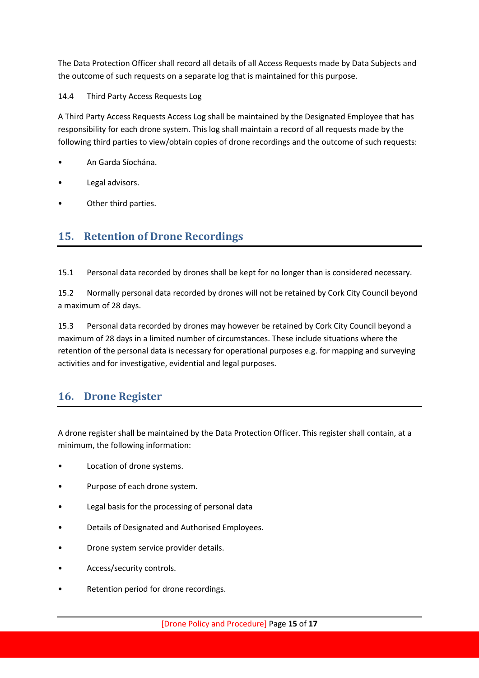The Data Protection Officer shall record all details of all Access Requests made by Data Subjects and the outcome of such requests on a separate log that is maintained for this purpose.

#### 14.4 Third Party Access Requests Log

A Third Party Access Requests Access Log shall be maintained by the Designated Employee that has responsibility for each drone system. This log shall maintain a record of all requests made by the following third parties to view/obtain copies of drone recordings and the outcome of such requests:

- An Garda Síochána.
- Legal advisors.
- Other third parties.

#### <span id="page-14-0"></span>**15. Retention of Drone Recordings**

15.1 Personal data recorded by drones shall be kept for no longer than is considered necessary.

15.2 Normally personal data recorded by drones will not be retained by Cork City Council beyond a maximum of 28 days.

15.3 Personal data recorded by drones may however be retained by Cork City Council beyond a maximum of 28 days in a limited number of circumstances. These include situations where the retention of the personal data is necessary for operational purposes e.g. for mapping and surveying activities and for investigative, evidential and legal purposes.

#### <span id="page-14-1"></span>**16. Drone Register**

A drone register shall be maintained by the Data Protection Officer. This register shall contain, at a minimum, the following information:

- Location of drone systems.
- Purpose of each drone system.
- Legal basis for the processing of personal data
- Details of Designated and Authorised Employees.
- Drone system service provider details.
- Access/security controls.
- Retention period for drone recordings.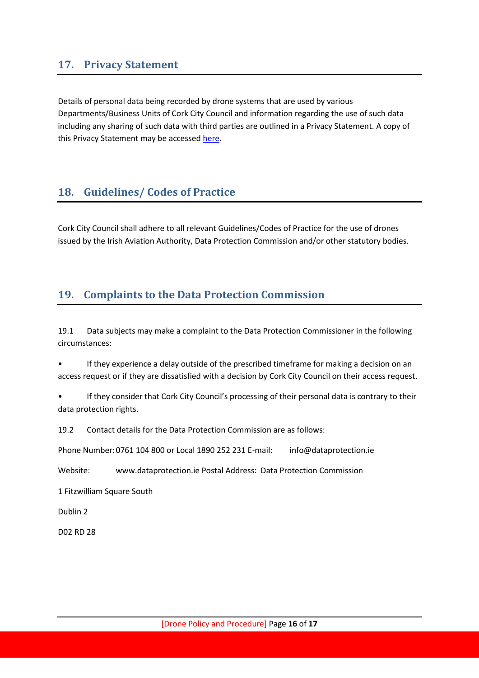#### <span id="page-15-0"></span>**17. Privacy Statement**

Details of personal data being recorded by drone systems that are used by various Departments/Business Units of Cork City Council and information regarding the use of such data including any sharing of such data with third parties are outlined in a Privacy Statement. A copy of this Privacy Statement may be accessed [here.](http://www.roscommoncoco.ie/en/Freedom_of_Information/Data%20Protection/Privacy-Statements/)

#### <span id="page-15-1"></span>**18. Guidelines/ Codes of Practice**

Cork City Council shall adhere to all relevant Guidelines/Codes of Practice for the use of drones issued by the Irish Aviation Authority, Data Protection Commission and/or other statutory bodies.

#### <span id="page-15-2"></span>**19. Complaints to the Data Protection Commission**

19.1 Data subjects may make a complaint to the Data Protection Commissioner in the following circumstances:

• If they experience a delay outside of the prescribed timeframe for making a decision on an access request or if they are dissatisfied with a decision by Cork City Council on their access request.

• If they consider that Cork City Council's processing of their personal data is contrary to their data protection rights.

19.2 Contact details for the Data Protection Commission are as follows:

Phone Number: 0761 104 800 or Local 1890 252 231 E-mail: info@dataprotection.ie

Website: www.dataprotection.ie Postal Address: Data Protection Commission

1 Fitzwilliam Square South

Dublin 2

D02 RD 28